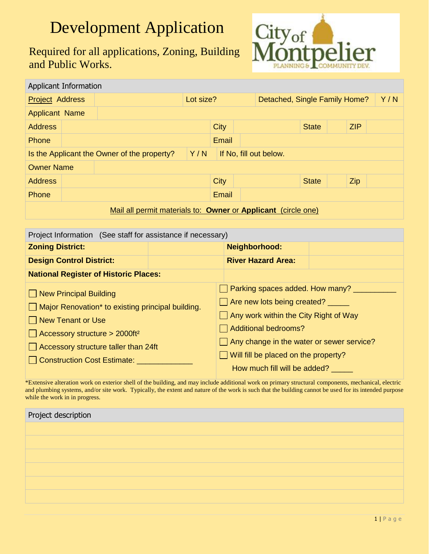## Development Application

Required for all applications, Zoning, Building and Public Works.



| Applicant Information                                                        |           |  |  |       |  |                               |              |  |     |  |
|------------------------------------------------------------------------------|-----------|--|--|-------|--|-------------------------------|--------------|--|-----|--|
| <b>Project Address</b>                                                       | Lot size? |  |  |       |  | Detached, Single Family Home? |              |  | Y/N |  |
| <b>Applicant Name</b>                                                        |           |  |  |       |  |                               |              |  |     |  |
| <b>Address</b>                                                               |           |  |  | City  |  |                               | <b>State</b> |  | ZIP |  |
| Phone                                                                        |           |  |  | Email |  |                               |              |  |     |  |
| Y/N<br>Is the Applicant the Owner of the property?<br>If No, fill out below. |           |  |  |       |  |                               |              |  |     |  |
| <b>Owner Name</b>                                                            |           |  |  |       |  |                               |              |  |     |  |
| <b>Address</b>                                                               |           |  |  | City  |  |                               | <b>State</b> |  | Zip |  |
| Phone                                                                        |           |  |  | Email |  |                               |              |  |     |  |
| Mail all permit materials to: Owner or Applicant (circle one)                |           |  |  |       |  |                               |              |  |     |  |

| Project Information (See staff for assistance if necessary)                                                                                                                                                                                               |  |                                                                                                                                                                                                                                                             |  |  |  |
|-----------------------------------------------------------------------------------------------------------------------------------------------------------------------------------------------------------------------------------------------------------|--|-------------------------------------------------------------------------------------------------------------------------------------------------------------------------------------------------------------------------------------------------------------|--|--|--|
| <b>Zoning District:</b>                                                                                                                                                                                                                                   |  | Neighborhood:                                                                                                                                                                                                                                               |  |  |  |
| <b>Design Control District:</b>                                                                                                                                                                                                                           |  | <b>River Hazard Area:</b>                                                                                                                                                                                                                                   |  |  |  |
| <b>National Register of Historic Places:</b>                                                                                                                                                                                                              |  |                                                                                                                                                                                                                                                             |  |  |  |
| New Principal Building<br>$\Box$ Major Renovation <sup>*</sup> to existing principal building.<br>□ New Tenant or Use<br>$\Box$ Accessory structure > 2000ft <sup>2</sup><br>$\Box$ Accessory structure taller than 24ft<br>  Construction Cost Estimate: |  | Sarking spaces added. How many?<br>Are new lots being created?<br>Any work within the City Right of Way<br>Additional bedrooms?<br>Any change in the water or sewer service?<br>$\Box$ Will fill be placed on the property?<br>How much fill will be added? |  |  |  |

\*Extensive alteration work on exterior shell of the building, and may include additional work on primary structural components, mechanical, electric and plumbing systems, and/or site work. Typically, the extent and nature of the work is such that the building cannot be used for its intended purpose while the work in in progress.